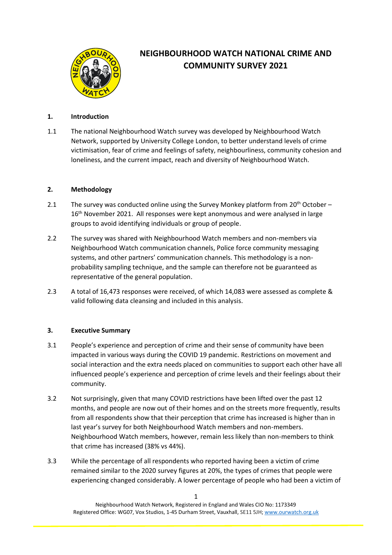

# **NEIGHBOURHOOD WATCH NATIONAL CRIME AND COMMUNITY SURVEY 2021**

# **1. Introduction**

1.1 The national Neighbourhood Watch survey was developed by Neighbourhood Watch Network, supported by University College London, to better understand levels of crime victimisation, fear of crime and feelings of safety, neighbourliness, community cohesion and loneliness, and the current impact, reach and diversity of Neighbourhood Watch.

# **2. Methodology**

- 2.1 The survey was conducted online using the Survey Monkey platform from  $20^{th}$  October 16<sup>th</sup> November 2021. All responses were kept anonymous and were analysed in large groups to avoid identifying individuals or group of people.
- 2.2 The survey was shared with Neighbourhood Watch members and non-members via Neighbourhood Watch communication channels, Police force community messaging systems, and other partners' communication channels. This methodology is a nonprobability sampling technique, and the sample can therefore not be guaranteed as representative of the general population.
- 2.3 A total of 16,473 responses were received, of which 14,083 were assessed as complete & valid following data cleansing and included in this analysis.

# **3. Executive Summary**

- 3.1 People's experience and perception of crime and their sense of community have been impacted in various ways during the COVID 19 pandemic. Restrictions on movement and social interaction and the extra needs placed on communities to support each other have all influenced people's experience and perception of crime levels and their feelings about their community.
- 3.2 Not surprisingly, given that many COVID restrictions have been lifted over the past 12 months, and people are now out of their homes and on the streets more frequently, results from all respondents show that their perception that crime has increased is higher than in last year's survey for both Neighbourhood Watch members and non-members. Neighbourhood Watch members, however, remain less likely than non-members to think that crime has increased (38% vs 44%).
- 3.3 While the percentage of all respondents who reported having been a victim of crime remained similar to the 2020 survey figures at 20%, the types of crimes that people were experiencing changed considerably. A lower percentage of people who had been a victim of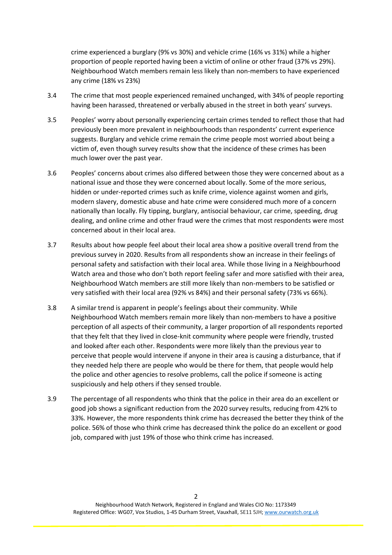crime experienced a burglary (9% vs 30%) and vehicle crime (16% vs 31%) while a higher proportion of people reported having been a victim of online or other fraud (37% vs 29%). Neighbourhood Watch members remain less likely than non-members to have experienced any crime (18% vs 23%)

- 3.4 The crime that most people experienced remained unchanged, with 34% of people reporting having been harassed, threatened or verbally abused in the street in both years' surveys.
- 3.5 Peoples' worry about personally experiencing certain crimes tended to reflect those that had previously been more prevalent in neighbourhoods than respondents' current experience suggests. Burglary and vehicle crime remain the crime people most worried about being a victim of, even though survey results show that the incidence of these crimes has been much lower over the past year.
- 3.6 Peoples' concerns about crimes also differed between those they were concerned about as a national issue and those they were concerned about locally. Some of the more serious, hidden or under-reported crimes such as knife crime, violence against women and girls, modern slavery, domestic abuse and hate crime were considered much more of a concern nationally than locally. Fly tipping, burglary, antisocial behaviour, car crime, speeding, drug dealing, and online crime and other fraud were the crimes that most respondents were most concerned about in their local area.
- 3.7 Results about how people feel about their local area show a positive overall trend from the previous survey in 2020. Results from all respondents show an increase in their feelings of personal safety and satisfaction with their local area. While those living in a Neighbourhood Watch area and those who don't both report feeling safer and more satisfied with their area, Neighbourhood Watch members are still more likely than non-members to be satisfied or very satisfied with their local area (92% vs 84%) and their personal safety (73% vs 66%).
- 3.8 A similar trend is apparent in people's feelings about their community. While Neighbourhood Watch members remain more likely than non-members to have a positive perception of all aspects of their community, a larger proportion of all respondents reported that they felt that they lived in close-knit community where people were friendly, trusted and looked after each other. Respondents were more likely than the previous year to perceive that people would intervene if anyone in their area is causing a disturbance, that if they needed help there are people who would be there for them, that people would help the police and other agencies to resolve problems, call the police if someone is acting suspiciously and help others if they sensed trouble.
- 3.9 The percentage of all respondents who think that the police in their area do an excellent or good job shows a significant reduction from the 2020 survey results, reducing from 42% to 33%. However, the more respondents think crime has decreased the better they think of the police. 56% of those who think crime has decreased think the police do an excellent or good job, compared with just 19% of those who think crime has increased.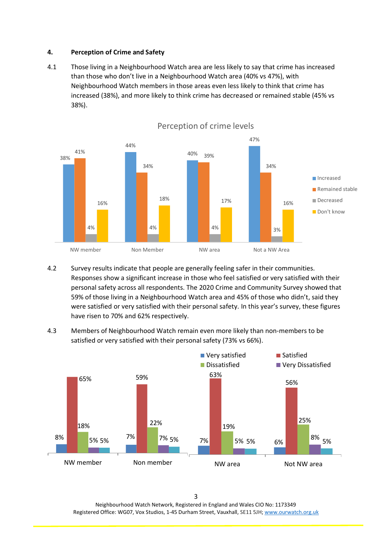# **4. Perception of Crime and Safety**

4.1 Those living in a Neighbourhood Watch area are less likely to say that crime has increased than those who don't live in a Neighbourhood Watch area (40% vs 47%), with Neighbourhood Watch members in those areas even less likely to think that crime has increased (38%), and more likely to think crime has decreased or remained stable (45% vs 38%).



4.2 Survey results indicate that people are generally feeling safer in their communities. Responses show a significant increase in those who feel satisfied or very satisfied with their personal safety across all respondents. The 2020 Crime and Community Survey showed that 59% of those living in a Neighbourhood Watch area and 45% of those who didn't, said they were satisfied or very satisfied with their personal safety. In this year's survey, these figures have risen to 70% and 62% respectively.

4.3 Members of Neighbourhood Watch remain even more likely than non-members to be satisfied or very satisfied with their personal safety (73% vs 66%).



Neighbourhood Watch Network, Registered in England and Wales CIO No: 1173349 Registered Office: WG07, Vox Studios, 1-45 Durham Street, Vauxhall, SE11 5JH[; www.ourwatch.org.uk](http://www.ourwatch.org.uk/)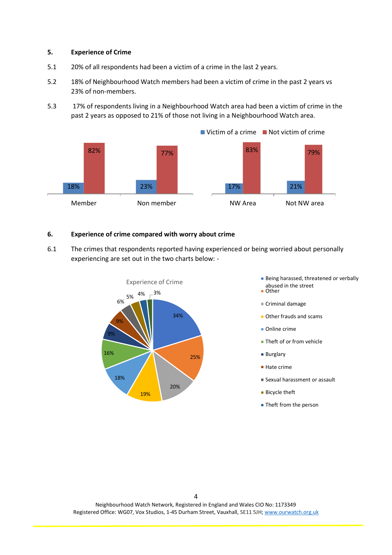#### **5. Experience of Crime**

- 5.1 20% of all respondents had been a victim of a crime in the last 2 years.
- 5.2 18% of Neighbourhood Watch members had been a victim of crime in the past 2 years vs 23% of non-members.
- 5.3 17% of respondents living in a Neighbourhood Watch area had been a victim of crime in the past 2 years as opposed to 21% of those not living in a Neighbourhood Watch area.



#### **6. Experience of crime compared with worry about crime**

6.1 The crimes that respondents reported having experienced or being worried about personally experiencing are set out in the two charts below: -



- Experience of Crime **Being harassed, threatened or verbally** abused in the street
	- Other
	- Criminal damage
	- **Other frauds and scams**
	- Online crime
	- Theft of or from vehicle
	- **Burglary**
	- Hate crime
	- Sexual harassment or assault
	- **Bicycle theft**
	- **Theft from the person**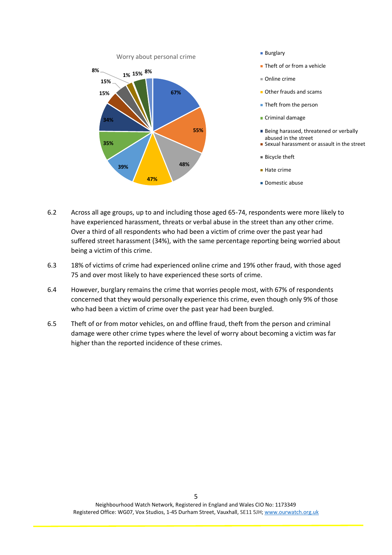

- 
- **Theft of or from a vehicle**
- Online crime
- **Other frauds and scams**
- **Theft from the person**
- Criminal damage
- Being harassed, threatened or verbally abused in the street
- **Sexual harassment or assault in the street**
- Bicycle theft
- Hate crime
- Domestic abuse
- 6.2 Across all age groups, up to and including those aged 65-74, respondents were more likely to have experienced harassment, threats or verbal abuse in the street than any other crime. Over a third of all respondents who had been a victim of crime over the past year had suffered street harassment (34%), with the same percentage reporting being worried about being a victim of this crime.
- 6.3 18% of victims of crime had experienced online crime and 19% other fraud, with those aged 75 and over most likely to have experienced these sorts of crime.
- 6.4 However, burglary remains the crime that worries people most, with 67% of respondents concerned that they would personally experience this crime, even though only 9% of those who had been a victim of crime over the past year had been burgled.
- 6.5 Theft of or from motor vehicles, on and offline fraud, theft from the person and criminal damage were other crime types where the level of worry about becoming a victim was far higher than the reported incidence of these crimes.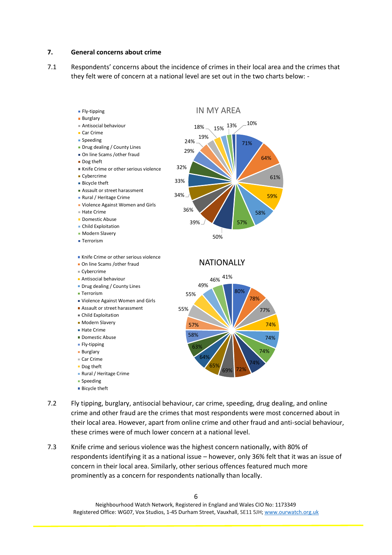#### **7. General concerns about crime**

7.1 Respondents' concerns about the incidence of crimes in their local area and the crimes that they felt were of concern at a national level are set out in the two charts below: -



- 7.2 Fly tipping, burglary, antisocial behaviour, car crime, speeding, drug dealing, and online crime and other fraud are the crimes that most respondents were most concerned about in their local area. However, apart from online crime and other fraud and anti-social behaviour, these crimes were of much lower concern at a national level.
- 7.3 Knife crime and serious violence was the highest concern nationally, with 80% of respondents identifying it as a national issue – however, only 36% felt that it was an issue of concern in their local area. Similarly, other serious offences featured much more prominently as a concern for respondents nationally than locally.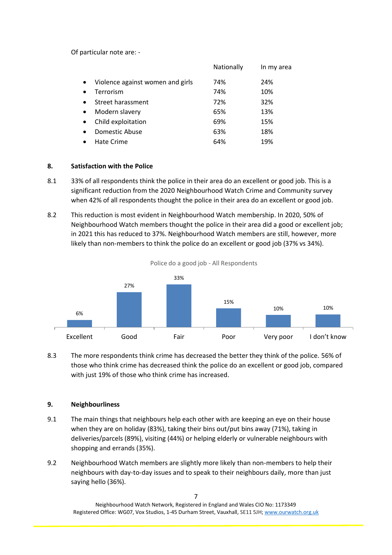Of particular note are: -

|                                  | Nationally | In my area |
|----------------------------------|------------|------------|
| Violence against women and girls | 74%        | 24%        |
| Terrorism                        | 74%        | 10%        |
| Street harassment                | 72%        | 32%        |
| Modern slavery                   | 65%        | 13%        |
| Child exploitation               | 69%        | 15%        |
| Domestic Abuse                   | 63%        | 18%        |
| Hate Crime                       | 64%        | 19%        |
|                                  |            |            |

# **8. Satisfaction with the Police**

- 8.1 33% of all respondents think the police in their area do an excellent or good job. This is a significant reduction from the 2020 Neighbourhood Watch Crime and Community survey when 42% of all respondents thought the police in their area do an excellent or good job.
- 8.2 This reduction is most evident in Neighbourhood Watch membership. In 2020, 50% of Neighbourhood Watch members thought the police in their area did a good or excellent job; in 2021 this has reduced to 37%. Neighbourhood Watch members are still, however, more likely than non-members to think the police do an excellent or good job (37% vs 34%).



Police do a good job - All Respondents

8.3 The more respondents think crime has decreased the better they think of the police. 56% of those who think crime has decreased think the police do an excellent or good job, compared with just 19% of those who think crime has increased.

# **9. Neighbourliness**

- 9.1 The main things that neighbours help each other with are keeping an eye on their house when they are on holiday (83%), taking their bins out/put bins away (71%), taking in deliveries/parcels (89%), visiting (44%) or helping elderly or vulnerable neighbours with shopping and errands (35%).
- 9.2 Neighbourhood Watch members are slightly more likely than non-members to help their neighbours with day-to-day issues and to speak to their neighbours daily, more than just saying hello (36%).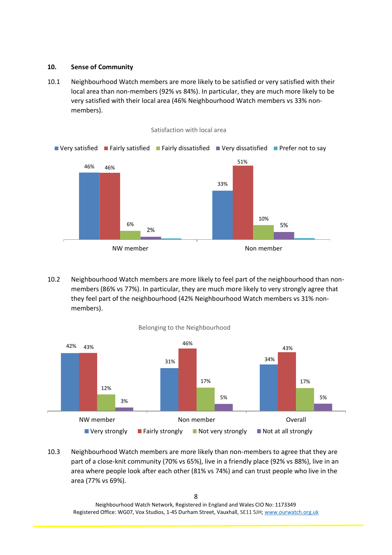# **10. Sense of Community**

10.1 Neighbourhood Watch members are more likely to be satisfied or very satisfied with their local area than non-members (92% vs 84%). In particular, they are much more likely to be very satisfied with their local area (46% Neighbourhood Watch members vs 33% nonmembers).



10.2 Neighbourhood Watch members are more likely to feel part of the neighbourhood than nonmembers (86% vs 77%). In particular, they are much more likely to very strongly agree that they feel part of the neighbourhood (42% Neighbourhood Watch members vs 31% nonmembers).



Belonging to the Neighbourhood

10.3 Neighbourhood Watch members are more likely than non-members to agree that they are part of a close-knit community (70% vs 65%), live in a friendly place (92% vs 88%), live in an area where people look after each other (81% vs 74%) and can trust people who live in the area (77% vs 69%).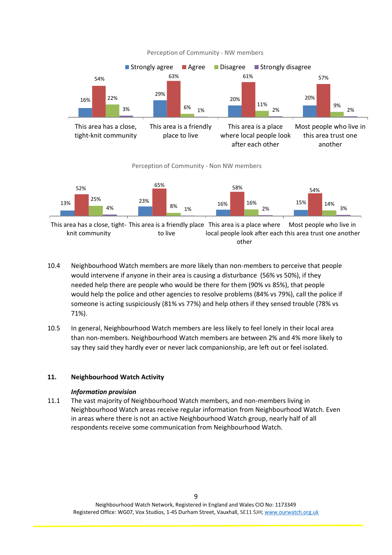

Perception of Community - NW members



This area has a close, tight- This area is a friendly place This area is a place where knit community to live local people look after each this area trust one another other Most people who live in

- 10.4 Neighbourhood Watch members are more likely than non-members to perceive that people would intervene if anyone in their area is causing a disturbance (56% vs 50%), if they needed help there are people who would be there for them (90% vs 85%), that people would help the police and other agencies to resolve problems (84% vs 79%), call the police if someone is acting suspiciously (81% vs 77%) and help others if they sensed trouble (78% vs 71%).
- 10.5 In general, Neighbourhood Watch members are less likely to feel lonely in their local area than non-members. Neighbourhood Watch members are between 2% and 4% more likely to say they said they hardly ever or never lack companionship, are left out or feel isolated.

# **11. Neighbourhood Watch Activity**

# *Information provision*

11.1 The vast majority of Neighbourhood Watch members, and non-members living in Neighbourhood Watch areas receive regular information from Neighbourhood Watch. Even in areas where there is not an active Neighbourhood Watch group, nearly half of all respondents receive some communication from Neighbourhood Watch.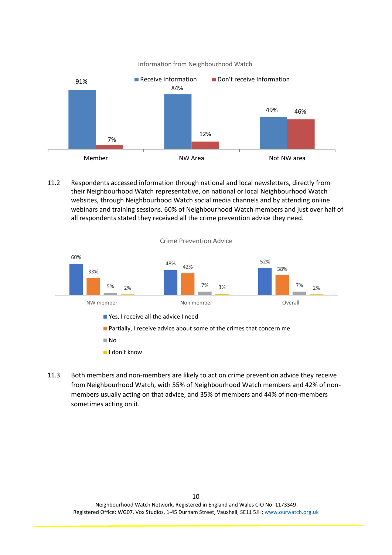



11.2 Respondents accessed information through national and local newsletters, directly from their Neighbourhood Watch representative, on national or local Neighbourhood Watch websites, through Neighbourhood Watch social media channels and by attending online webinars and training sessions. 60% of Neighbourhood Watch members and just over half of all respondents stated they received all the crime prevention advice they need.



11.3 Both members and non-members are likely to act on crime prevention advice they receive from Neighbourhood Watch, with 55% of Neighbourhood Watch members and 42% of nonmembers usually acting on that advice, and 35% of members and 44% of non-members sometimes acting on it.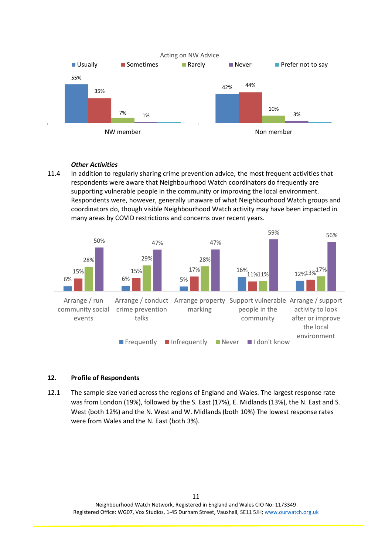

# *Other Activities*

11.4 In addition to regularly sharing crime prevention advice, the most frequent activities that respondents were aware that Neighbourhood Watch coordinators do frequently are supporting vulnerable people in the community or improving the local environment. Respondents were, however, generally unaware of what Neighbourhood Watch groups and coordinators do, though visible Neighbourhood Watch activity may have been impacted in many areas by COVID restrictions and concerns over recent years.



# **12. Profile of Respondents**

12.1 The sample size varied across the regions of England and Wales. The largest response rate was from London (19%), followed by the S. East (17%), E. Midlands (13%), the N. East and S. West (both 12%) and the N. West and W. Midlands (both 10%) The lowest response rates were from Wales and the N. East (both 3%).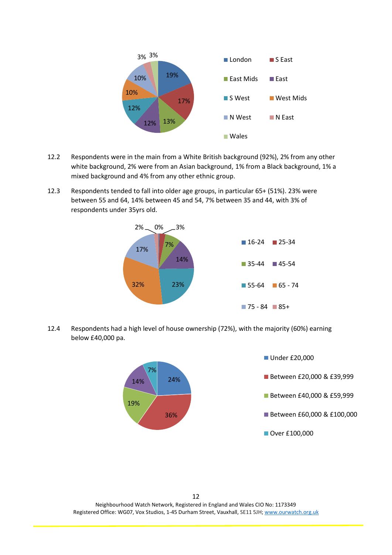

- 12.2 Respondents were in the main from a White British background (92%), 2% from any other white background, 2% were from an Asian background, 1% from a Black background, 1% a mixed background and 4% from any other ethnic group.
- 12.3 Respondents tended to fall into older age groups, in particular 65+ (51%). 23% were between 55 and 64, 14% between 45 and 54, 7% between 35 and 44, with 3% of respondents under 35yrs old.



12.4 Respondents had a high level of house ownership (72%), with the majority (60%) earning below £40,000 pa.



12 Neighbourhood Watch Network, Registered in England and Wales CIO No: 1173349 Registered Office: WG07, Vox Studios, 1-45 Durham Street, Vauxhall, SE11 5JH[; www.ourwatch.org.uk](http://www.ourwatch.org.uk/)